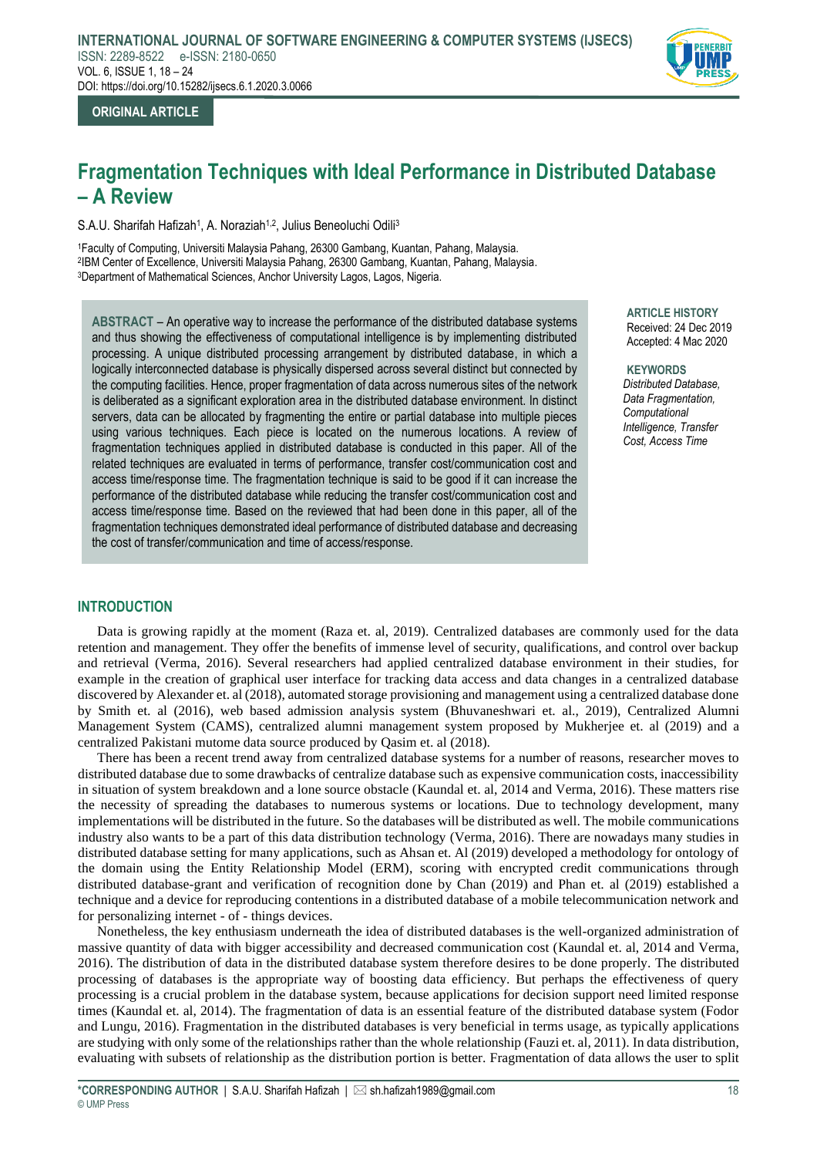

## **ORIGINAL ARTICLE**

# **Fragmentation Techniques with Ideal Performance in Distributed Database – A Review**

S.A.U. Sharifah Hafizah<sup>1</sup>, A. Noraziah<sup>1,2</sup>, Julius Beneoluchi Odili<sup>3</sup>

<sup>1</sup>Faculty of Computing, Universiti Malaysia Pahang, 26300 Gambang, Kuantan, Pahang, Malaysia. 2 IBM Center of Excellence, Universiti Malaysia Pahang, 26300 Gambang, Kuantan, Pahang, Malaysia. <sup>3</sup>Department of Mathematical Sciences, Anchor University Lagos, Lagos, Nigeria.

**ABSTRACT** – An operative way to increase the performance of the distributed database systems and thus showing the effectiveness of computational intelligence is by implementing distributed processing. A unique distributed processing arrangement by distributed database, in which a logically interconnected database is physically dispersed across several distinct but connected by the computing facilities. Hence, proper fragmentation of data across numerous sites of the network is deliberated as a significant exploration area in the distributed database environment. In distinct servers, data can be allocated by fragmenting the entire or partial database into multiple pieces using various techniques. Each piece is located on the numerous locations. A review of fragmentation techniques applied in distributed database is conducted in this paper. All of the related techniques are evaluated in terms of performance, transfer cost/communication cost and access time/response time. The fragmentation technique is said to be good if it can increase the performance of the distributed database while reducing the transfer cost/communication cost and access time/response time. Based on the reviewed that had been done in this paper, all of the fragmentation techniques demonstrated ideal performance of distributed database and decreasing the cost of transfer/communication and time of access/response.

**ARTICLE HISTORY** Received: 24 Dec 2019 Accepted: 4 Mac 2020

**KEYWORDS** *Distributed Database, Data Fragmentation, Computational Intelligence, Transfer Cost, Access Time* 

## **INTRODUCTION**

Data is growing rapidly at the moment (Raza et. al, 2019). Centralized databases are commonly used for the data retention and management. They offer the benefits of immense level of security, qualifications, and control over backup and retrieval (Verma, 2016). Several researchers had applied centralized database environment in their studies, for example in the creation of graphical user interface for tracking data access and data changes in a centralized database discovered by Alexander et. al (2018), automated storage provisioning and management using a centralized database done by Smith et. al (2016), web based admission analysis system (Bhuvaneshwari et. al., 2019), Centralized Alumni Management System (CAMS), centralized alumni management system proposed by Mukherjee et. al (2019) and a centralized Pakistani mutome data source produced by Qasim et. al (2018).

There has been a recent trend away from centralized database systems for a number of reasons, researcher moves to distributed database due to some drawbacks of centralize database such as expensive communication costs, inaccessibility in situation of system breakdown and a lone source obstacle (Kaundal et. al, 2014 and Verma, 2016). These matters rise the necessity of spreading the databases to numerous systems or locations. Due to technology development, many implementations will be distributed in the future. So the databases will be distributed as well. The mobile communications industry also wants to be a part of this data distribution technology (Verma, 2016). There are nowadays many studies in distributed database setting for many applications, such as Ahsan et. Al (2019) developed a methodology for ontology of the domain using the Entity Relationship Model (ERM), scoring with encrypted credit communications through distributed database-grant and verification of recognition done by Chan (2019) and Phan et. al (2019) established a technique and a device for reproducing contentions in a distributed database of a mobile telecommunication network and for personalizing internet - of - things devices.

Nonetheless, the key enthusiasm underneath the idea of distributed databases is the well-organized administration of massive quantity of data with bigger accessibility and decreased communication cost (Kaundal et. al, 2014 and Verma, 2016). The distribution of data in the distributed database system therefore desires to be done properly. The distributed processing of databases is the appropriate way of boosting data efficiency. But perhaps the effectiveness of query processing is a crucial problem in the database system, because applications for decision support need limited response times (Kaundal et. al, 2014). The fragmentation of data is an essential feature of the distributed database system (Fodor and Lungu, 2016). Fragmentation in the distributed databases is very beneficial in terms usage, as typically applications are studying with only some of the relationships rather than the whole relationship (Fauzi et. al, 2011). In data distribution, evaluating with subsets of relationship as the distribution portion is better. Fragmentation of data allows the user to split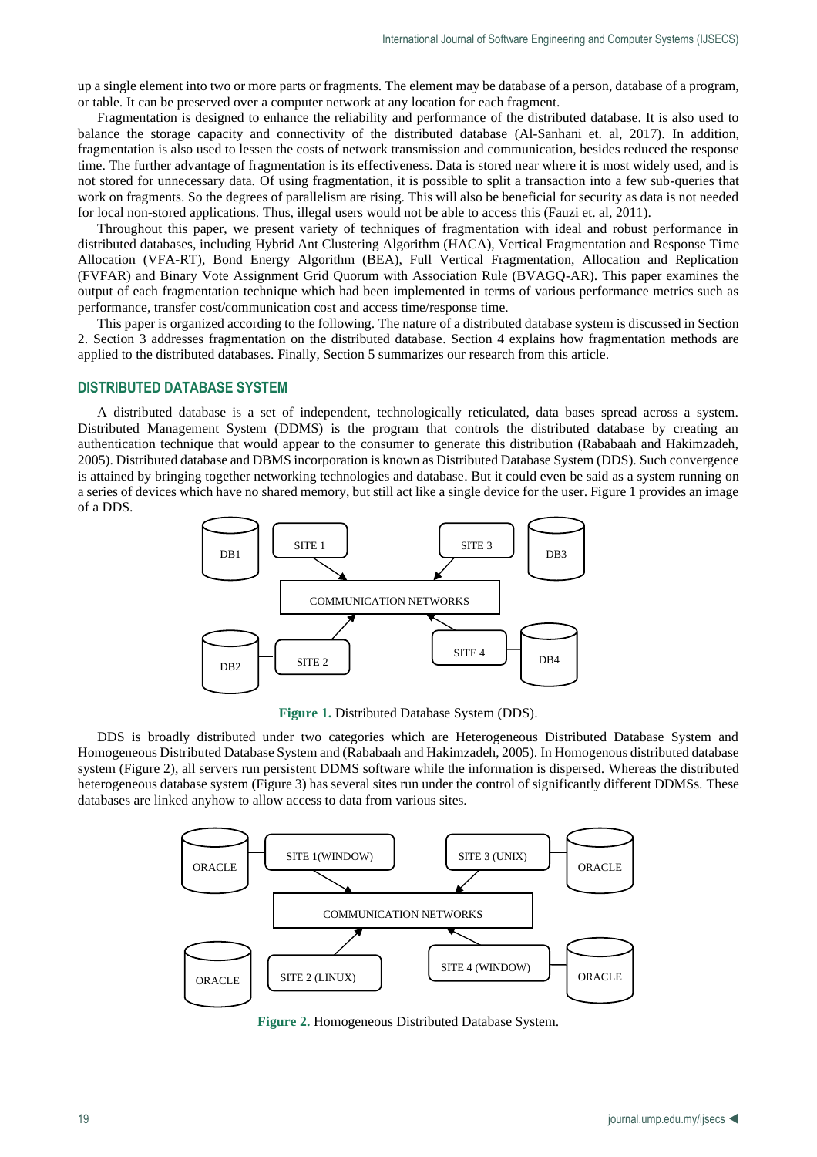up a single element into two or more parts or fragments. The element may be database of a person, database of a program, or table. It can be preserved over a computer network at any location for each fragment.

Fragmentation is designed to enhance the reliability and performance of the distributed database. It is also used to balance the storage capacity and connectivity of the distributed database (Al-Sanhani et. al, 2017). In addition, fragmentation is also used to lessen the costs of network transmission and communication, besides reduced the response time. The further advantage of fragmentation is its effectiveness. Data is stored near where it is most widely used, and is not stored for unnecessary data. Of using fragmentation, it is possible to split a transaction into a few sub-queries that work on fragments. So the degrees of parallelism are rising. This will also be beneficial for security as data is not needed for local non-stored applications. Thus, illegal users would not be able to access this (Fauzi et. al, 2011).

Throughout this paper, we present variety of techniques of fragmentation with ideal and robust performance in distributed databases, including Hybrid Ant Clustering Algorithm (HACA), Vertical Fragmentation and Response Time Allocation (VFA-RT), Bond Energy Algorithm (BEA), Full Vertical Fragmentation, Allocation and Replication (FVFAR) and Binary Vote Assignment Grid Quorum with Association Rule (BVAGQ-AR). This paper examines the output of each fragmentation technique which had been implemented in terms of various performance metrics such as performance, transfer cost/communication cost and access time/response time.

This paper is organized according to the following. The nature of a distributed database system is discussed in Section 2. Section 3 addresses fragmentation on the distributed database. Section 4 explains how fragmentation methods are applied to the distributed databases. Finally, Section 5 summarizes our research from this article.

# **DISTRIBUTED DATABASE SYSTEM**

A distributed database is a set of independent, technologically reticulated, data bases spread across a system. Distributed Management System (DDMS) is the program that controls the distributed database by creating an authentication technique that would appear to the consumer to generate this distribution (Rababaah and Hakimzadeh, 2005). Distributed database and DBMS incorporation is known as Distributed Database System (DDS). Such convergence is attained by bringing together networking technologies and database. But it could even be said as a system running on a series of devices which have no shared memory, but still act like a single device for the user. Figure 1 provides an image of a DDS.



**Figure 1.** Distributed Database System (DDS).

DDS is broadly distributed under two categories which are Heterogeneous Distributed Database System and Homogeneous Distributed Database System and (Rababaah and Hakimzadeh, 2005). In Homogenous distributed database system (Figure 2), all servers run persistent DDMS software while the information is dispersed. Whereas the distributed heterogeneous database system (Figure 3) has several sites run under the control of significantly different DDMSs. These databases are linked anyhow to allow access to data from various sites.



**Figure 2.** Homogeneous Distributed Database System.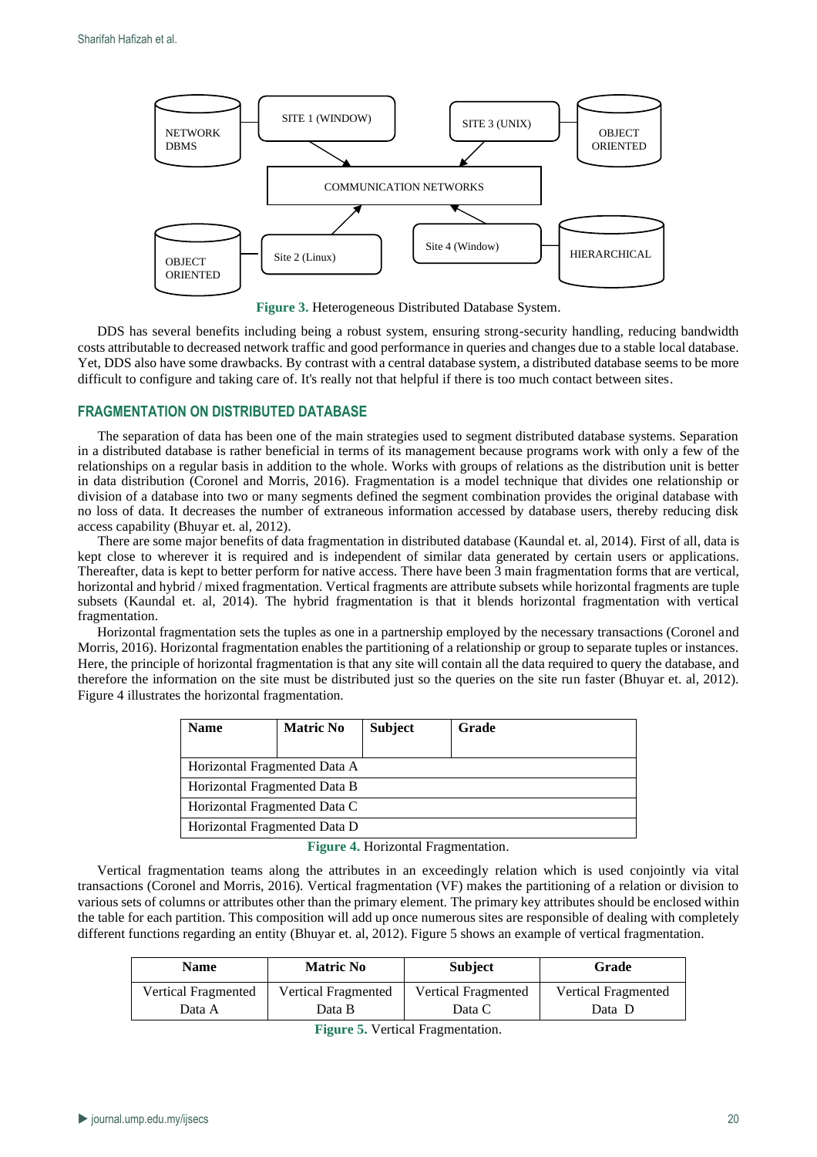

**Figure 3.** Heterogeneous Distributed Database System.

DDS has several benefits including being a robust system, ensuring strong-security handling, reducing bandwidth costs attributable to decreased network traffic and good performance in queries and changes due to a stable local database. Yet, DDS also have some drawbacks. By contrast with a central database system, a distributed database seems to be more difficult to configure and taking care of. It's really not that helpful if there is too much contact between sites.

## **FRAGMENTATION ON DISTRIBUTED DATABASE**

The separation of data has been one of the main strategies used to segment distributed database systems. Separation in a distributed database is rather beneficial in terms of its management because programs work with only a few of the relationships on a regular basis in addition to the whole. Works with groups of relations as the distribution unit is better in data distribution (Coronel and Morris, 2016). Fragmentation is a model technique that divides one relationship or division of a database into two or many segments defined the segment combination provides the original database with no loss of data. It decreases the number of extraneous information accessed by database users, thereby reducing disk access capability (Bhuyar et. al, 2012).

There are some major benefits of data fragmentation in distributed database (Kaundal et. al, 2014). First of all, data is kept close to wherever it is required and is independent of similar data generated by certain users or applications. Thereafter, data is kept to better perform for native access. There have been 3 main fragmentation forms that are vertical, horizontal and hybrid / mixed fragmentation. Vertical fragments are attribute subsets while horizontal fragments are tuple subsets (Kaundal et. al, 2014). The hybrid fragmentation is that it blends horizontal fragmentation with vertical fragmentation.

Horizontal fragmentation sets the tuples as one in a partnership employed by the necessary transactions (Coronel and Morris, 2016). Horizontal fragmentation enables the partitioning of a relationship or group to separate tuples or instances. Here, the principle of horizontal fragmentation is that any site will contain all the data required to query the database, and therefore the information on the site must be distributed just so the queries on the site run faster (Bhuyar et. al, 2012). Figure 4 illustrates the horizontal fragmentation.

| <b>Matric No</b>             | <b>Subject</b> | Grade |  |  |
|------------------------------|----------------|-------|--|--|
|                              |                |       |  |  |
| Horizontal Fragmented Data A |                |       |  |  |
| Horizontal Fragmented Data B |                |       |  |  |
| Horizontal Fragmented Data C |                |       |  |  |
| Horizontal Fragmented Data D |                |       |  |  |
|                              |                |       |  |  |

**Figure 4.** Horizontal Fragmentation.

Vertical fragmentation teams along the attributes in an exceedingly relation which is used conjointly via vital transactions (Coronel and Morris, 2016). Vertical fragmentation (VF) makes the partitioning of a relation or division to various sets of columns or attributes other than the primary element. The primary key attributes should be enclosed within the table for each partition. This composition will add up once numerous sites are responsible of dealing with completely different functions regarding an entity (Bhuyar et. al, 2012). Figure 5 shows an example of vertical fragmentation.

| Name                | <b>Matric No</b>    | <b>Subject</b>             | Grade               |  |
|---------------------|---------------------|----------------------------|---------------------|--|
| Vertical Fragmented | Vertical Fragmented | <b>Vertical Fragmented</b> | Vertical Fragmented |  |
| Data A              | Data B              | Data C                     | Data D              |  |

**Figure 5.** Vertical Fragmentation.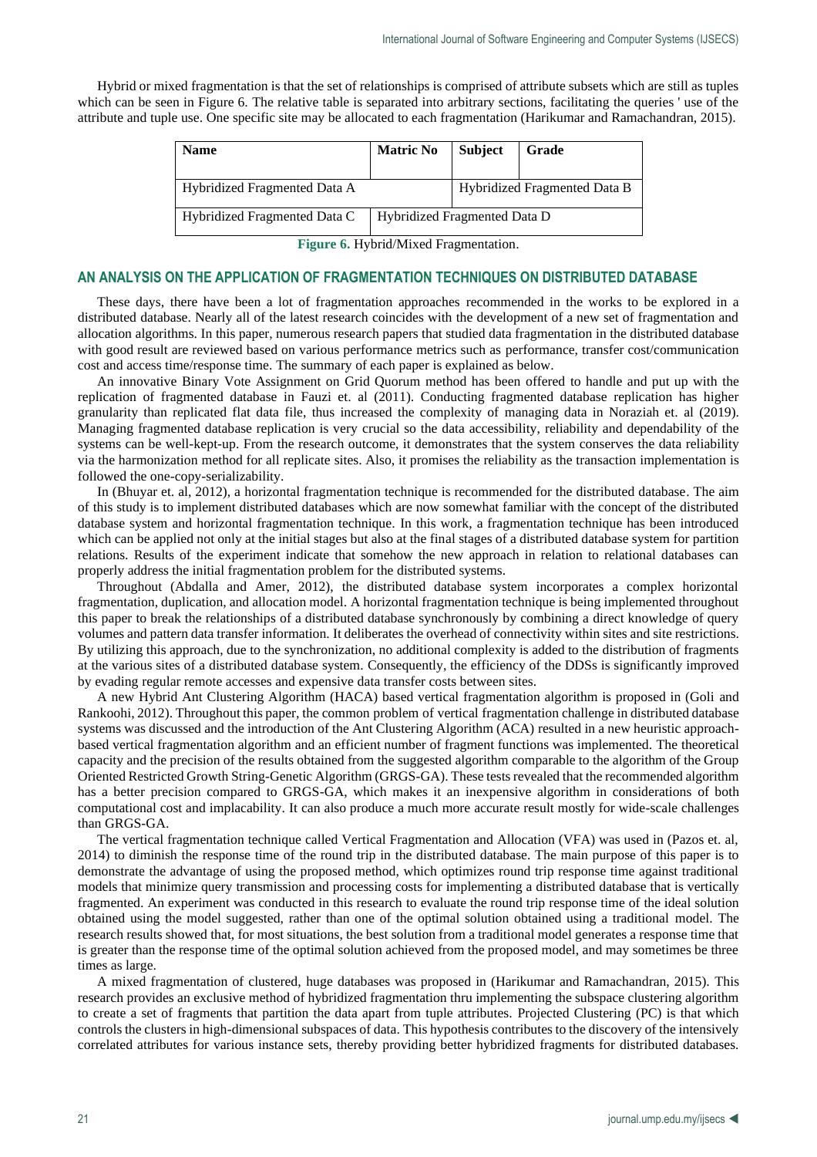Hybrid or mixed fragmentation is that the set of relationships is comprised of attribute subsets which are still as tuples which can be seen in Figure 6. The relative table is separated into arbitrary sections, facilitating the queries ' use of the attribute and tuple use. One specific site may be allocated to each fragmentation (Harikumar and Ramachandran, 2015).

| <b>Name</b>                  | <b>Matric No</b>             | <b>Subject</b> | Grade |
|------------------------------|------------------------------|----------------|-------|
| Hybridized Fragmented Data A | Hybridized Fragmented Data B |                |       |
| Hybridized Fragmented Data C | Hybridized Fragmented Data D |                |       |

**Figure 6.** Hybrid/Mixed Fragmentation.

## **AN ANALYSIS ON THE APPLICATION OF FRAGMENTATION TECHNIQUES ON DISTRIBUTED DATABASE**

These days, there have been a lot of fragmentation approaches recommended in the works to be explored in a distributed database. Nearly all of the latest research coincides with the development of a new set of fragmentation and allocation algorithms. In this paper, numerous research papers that studied data fragmentation in the distributed database with good result are reviewed based on various performance metrics such as performance, transfer cost/communication cost and access time/response time. The summary of each paper is explained as below.

An innovative Binary Vote Assignment on Grid Quorum method has been offered to handle and put up with the replication of fragmented database in Fauzi et. al (2011). Conducting fragmented database replication has higher granularity than replicated flat data file, thus increased the complexity of managing data in Noraziah et. al (2019). Managing fragmented database replication is very crucial so the data accessibility, reliability and dependability of the systems can be well-kept-up. From the research outcome, it demonstrates that the system conserves the data reliability via the harmonization method for all replicate sites. Also, it promises the reliability as the transaction implementation is followed the one-copy-serializability.

In (Bhuyar et. al, 2012), a horizontal fragmentation technique is recommended for the distributed database. The aim of this study is to implement distributed databases which are now somewhat familiar with the concept of the distributed database system and horizontal fragmentation technique. In this work, a fragmentation technique has been introduced which can be applied not only at the initial stages but also at the final stages of a distributed database system for partition relations. Results of the experiment indicate that somehow the new approach in relation to relational databases can properly address the initial fragmentation problem for the distributed systems.

Throughout (Abdalla and Amer, 2012), the distributed database system incorporates a complex horizontal fragmentation, duplication, and allocation model. A horizontal fragmentation technique is being implemented throughout this paper to break the relationships of a distributed database synchronously by combining a direct knowledge of query volumes and pattern data transfer information. It deliberates the overhead of connectivity within sites and site restrictions. By utilizing this approach, due to the synchronization, no additional complexity is added to the distribution of fragments at the various sites of a distributed database system. Consequently, the efficiency of the DDSs is significantly improved by evading regular remote accesses and expensive data transfer costs between sites.

A new Hybrid Ant Clustering Algorithm (HACA) based vertical fragmentation algorithm is proposed in (Goli and Rankoohi, 2012). Throughout this paper, the common problem of vertical fragmentation challenge in distributed database systems was discussed and the introduction of the Ant Clustering Algorithm (ACA) resulted in a new heuristic approachbased vertical fragmentation algorithm and an efficient number of fragment functions was implemented. The theoretical capacity and the precision of the results obtained from the suggested algorithm comparable to the algorithm of the Group Oriented Restricted Growth String-Genetic Algorithm (GRGS-GA). These tests revealed that the recommended algorithm has a better precision compared to GRGS-GA, which makes it an inexpensive algorithm in considerations of both computational cost and implacability. It can also produce a much more accurate result mostly for wide-scale challenges than GRGS-GA.

The vertical fragmentation technique called Vertical Fragmentation and Allocation (VFA) was used in (Pazos et. al, 2014) to diminish the response time of the round trip in the distributed database. The main purpose of this paper is to demonstrate the advantage of using the proposed method, which optimizes round trip response time against traditional models that minimize query transmission and processing costs for implementing a distributed database that is vertically fragmented. An experiment was conducted in this research to evaluate the round trip response time of the ideal solution obtained using the model suggested, rather than one of the optimal solution obtained using a traditional model. The research results showed that, for most situations, the best solution from a traditional model generates a response time that is greater than the response time of the optimal solution achieved from the proposed model, and may sometimes be three times as large.

A mixed fragmentation of clustered, huge databases was proposed in (Harikumar and Ramachandran, 2015). This research provides an exclusive method of hybridized fragmentation thru implementing the subspace clustering algorithm to create a set of fragments that partition the data apart from tuple attributes. Projected Clustering (PC) is that which controls the clusters in high-dimensional subspaces of data. This hypothesis contributes to the discovery of the intensively correlated attributes for various instance sets, thereby providing better hybridized fragments for distributed databases.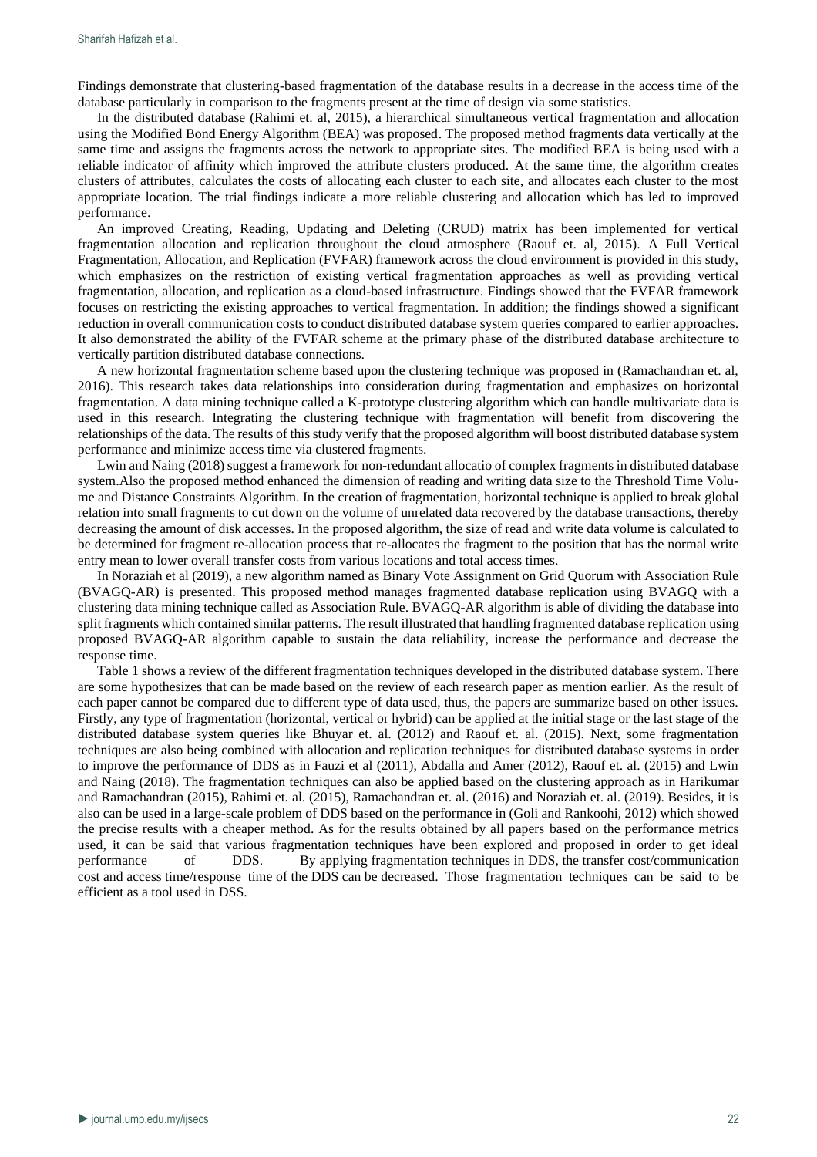Findings demonstrate that clustering-based fragmentation of the database results in a decrease in the access time of the database particularly in comparison to the fragments present at the time of design via some statistics.

In the distributed database (Rahimi et. al, 2015), a hierarchical simultaneous vertical fragmentation and allocation using the Modified Bond Energy Algorithm (BEA) was proposed. The proposed method fragments data vertically at the same time and assigns the fragments across the network to appropriate sites. The modified BEA is being used with a reliable indicator of affinity which improved the attribute clusters produced. At the same time, the algorithm creates clusters of attributes, calculates the costs of allocating each cluster to each site, and allocates each cluster to the most appropriate location. The trial findings indicate a more reliable clustering and allocation which has led to improved performance.

An improved Creating, Reading, Updating and Deleting (CRUD) matrix has been implemented for vertical fragmentation allocation and replication throughout the cloud atmosphere (Raouf et. al, 2015). A Full Vertical Fragmentation, Allocation, and Replication (FVFAR) framework across the cloud environment is provided in this study, which emphasizes on the restriction of existing vertical fragmentation approaches as well as providing vertical fragmentation, allocation, and replication as a cloud-based infrastructure. Findings showed that the FVFAR framework focuses on restricting the existing approaches to vertical fragmentation. In addition; the findings showed a significant reduction in overall communication costs to conduct distributed database system queries compared to earlier approaches. It also demonstrated the ability of the FVFAR scheme at the primary phase of the distributed database architecture to vertically partition distributed database connections.

A new horizontal fragmentation scheme based upon the clustering technique was proposed in (Ramachandran et. al, 2016). This research takes data relationships into consideration during fragmentation and emphasizes on horizontal fragmentation. A data mining technique called a K-prototype clustering algorithm which can handle multivariate data is used in this research. Integrating the clustering technique with fragmentation will benefit from discovering the relationships of the data. The results of this study verify that the proposed algorithm will boost distributed database system performance and minimize access time via clustered fragments.

Lwin and Naing (2018) suggest a framework for non-redundant allocatio of complex fragments in distributed database system.Also the proposed method enhanced the dimension of reading and writing data size to the Threshold Time Volume and Distance Constraints Algorithm. In the creation of fragmentation, horizontal technique is applied to break global relation into small fragments to cut down on the volume of unrelated data recovered by the database transactions, thereby decreasing the amount of disk accesses. In the proposed algorithm, the size of read and write data volume is calculated to be determined for fragment re-allocation process that re-allocates the fragment to the position that has the normal write entry mean to lower overall transfer costs from various locations and total access times.

In Noraziah et al (2019), a new algorithm named as Binary Vote Assignment on Grid Quorum with Association Rule (BVAGQ-AR) is presented. This proposed method manages fragmented database replication using BVAGQ with a clustering data mining technique called as Association Rule. BVAGQ-AR algorithm is able of dividing the database into split fragments which contained similar patterns. The result illustrated that handling fragmented database replication using proposed BVAGQ-AR algorithm capable to sustain the data reliability, increase the performance and decrease the response time.

Table 1 shows a review of the different fragmentation techniques developed in the distributed database system. There are some hypothesizes that can be made based on the review of each research paper as mention earlier. As the result of each paper cannot be compared due to different type of data used, thus, the papers are summarize based on other issues. Firstly, any type of fragmentation (horizontal, vertical or hybrid) can be applied at the initial stage or the last stage of the distributed database system queries like Bhuyar et. al. (2012) and Raouf et. al. (2015). Next, some fragmentation techniques are also being combined with allocation and replication techniques for distributed database systems in order to improve the performance of DDS as in Fauzi et al (2011), Abdalla and Amer (2012), Raouf et. al. (2015) and Lwin and Naing (2018). The fragmentation techniques can also be applied based on the clustering approach as in Harikumar and Ramachandran (2015), Rahimi et. al. (2015), Ramachandran et. al. (2016) and Noraziah et. al. (2019). Besides, it is also can be used in a large-scale problem of DDS based on the performance in (Goli and Rankoohi, 2012) which showed the precise results with a cheaper method. As for the results obtained by all papers based on the performance metrics used, it can be said that various fragmentation techniques have been explored and proposed in order to get ideal performance of DDS. By applying fragmentation techniques in DDS, the transfer cost/communication cost and access time/response time of the DDS can be decreased. Those fragmentation techniques can be said to be efficient as a tool used in DSS.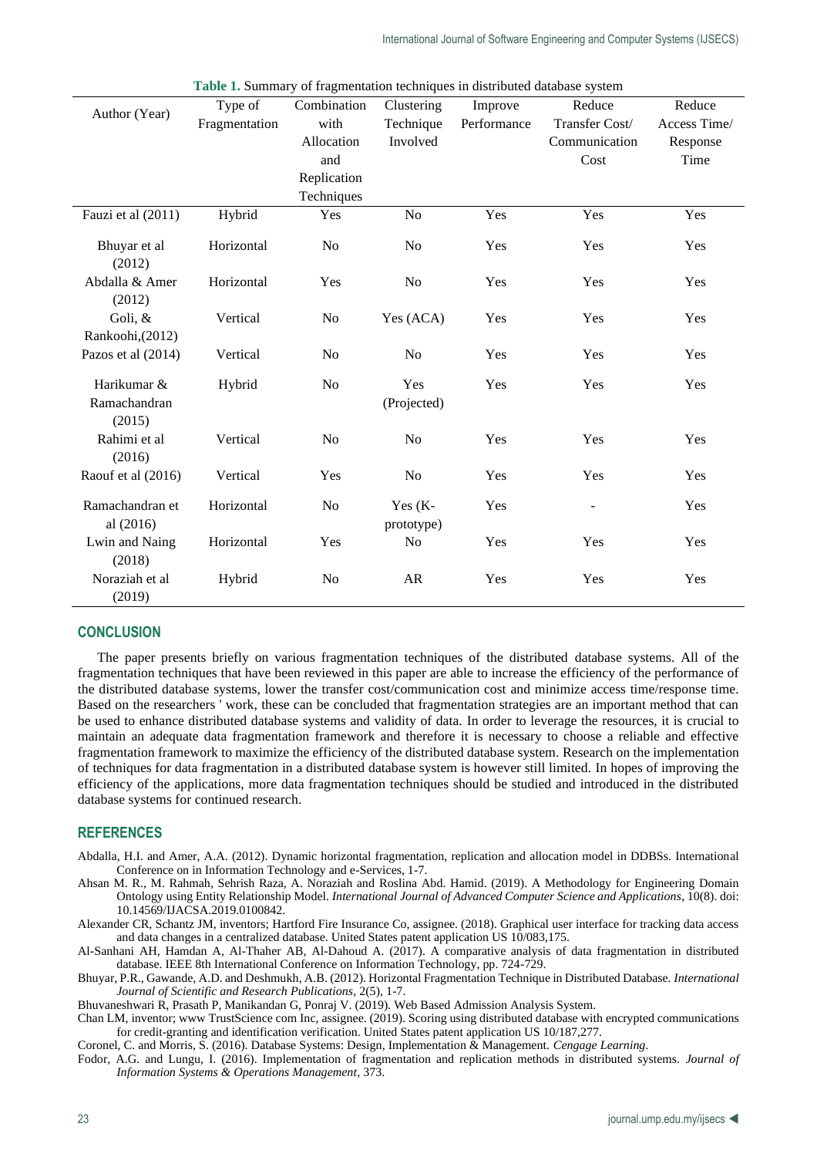| Author (Year)      | Type of       | Combination    | Clustering     | Improve     | Reduce                   | Reduce       |
|--------------------|---------------|----------------|----------------|-------------|--------------------------|--------------|
|                    | Fragmentation | with           | Technique      | Performance | Transfer Cost/           | Access Time/ |
|                    |               | Allocation     | Involved       |             | Communication            | Response     |
|                    |               | and            |                |             | Cost                     | Time         |
|                    |               | Replication    |                |             |                          |              |
|                    |               | Techniques     |                |             |                          |              |
| Fauzi et al (2011) | Hybrid        | Yes            | No             | Yes         | Yes                      | Yes          |
| Bhuyar et al       | Horizontal    | N <sub>o</sub> | N <sub>o</sub> | Yes         | Yes                      | Yes          |
| (2012)             |               |                |                |             |                          |              |
| Abdalla & Amer     | Horizontal    | Yes            | No             | Yes         | Yes                      | Yes          |
| (2012)             |               |                |                |             |                          |              |
| Goli, &            | Vertical      | N <sub>o</sub> | Yes (ACA)      | Yes         | Yes                      | Yes          |
| Rankoohi,(2012)    |               |                |                |             |                          |              |
| Pazos et al (2014) | Vertical      | No             | N <sub>o</sub> | Yes         | Yes                      | Yes          |
| Harikumar &        | Hybrid        | N <sub>o</sub> | Yes            | Yes         | Yes                      | Yes          |
| Ramachandran       |               |                | (Projected)    |             |                          |              |
| (2015)             |               |                |                |             |                          |              |
| Rahimi et al       | Vertical      | N <sub>0</sub> | No             | Yes         | Yes                      | Yes          |
| (2016)             |               |                |                |             |                          |              |
| Raouf et al (2016) | Vertical      | Yes            | No             | Yes         | Yes                      | Yes          |
| Ramachandran et    | Horizontal    | N <sub>o</sub> | Yes $(K-$      | Yes         | $\overline{\phantom{a}}$ | Yes          |
| al $(2016)$        |               |                | prototype)     |             |                          |              |
| Lwin and Naing     | Horizontal    | Yes            | N <sub>0</sub> | Yes         | Yes                      | Yes          |
| (2018)             |               |                |                |             |                          |              |
| Noraziah et al     | Hybrid        | No             | AR             | Yes         | Yes                      | Yes          |
| (2019)             |               |                |                |             |                          |              |

**Table 1.** Summary of fragmentation techniques in distributed database system

## **CONCLUSION**

The paper presents briefly on various fragmentation techniques of the distributed database systems. All of the fragmentation techniques that have been reviewed in this paper are able to increase the efficiency of the performance of the distributed database systems, lower the transfer cost/communication cost and minimize access time/response time. Based on the researchers ' work, these can be concluded that fragmentation strategies are an important method that can be used to enhance distributed database systems and validity of data. In order to leverage the resources, it is crucial to maintain an adequate data fragmentation framework and therefore it is necessary to choose a reliable and effective fragmentation framework to maximize the efficiency of the distributed database system. Research on the implementation of techniques for data fragmentation in a distributed database system is however still limited. In hopes of improving the efficiency of the applications, more data fragmentation techniques should be studied and introduced in the distributed database systems for continued research.

## **REFERENCES**

- Abdalla, H.I. and Amer, A.A. (2012). Dynamic horizontal fragmentation, replication and allocation model in DDBSs. International Conference on in Information Technology and e-Services, 1-7.
- Ahsan M. R., M. Rahmah, Sehrish Raza, A. Noraziah and Roslina Abd. Hamid. (2019). A Methodology for Engineering Domain Ontology using Entity Relationship Model. *International Journal of Advanced Computer Science and Applications*, 10(8). doi: 10.14569/IJACSA.2019.0100842.
- Alexander CR, Schantz JM, inventors; Hartford Fire Insurance Co, assignee. (2018). Graphical user interface for tracking data access and data changes in a centralized database. United States patent application US 10/083,175.

Al-Sanhani AH, Hamdan A, Al-Thaher AB, Al-Dahoud A. (2017). A comparative analysis of data fragmentation in distributed database. IEEE 8th International Conference on Information Technology, pp. 724-729.

Bhuyar, P.R., Gawande, A.D. and Deshmukh, A.B. (2012). Horizontal Fragmentation Technique in Distributed Database. *International Journal of Scientific and Research Publications*, 2(5), 1-7.

Bhuvaneshwari R, Prasath P, Manikandan G, Ponraj V. (2019). Web Based Admission Analysis System.

Chan LM, inventor; www TrustScience com Inc, assignee. (2019). Scoring using distributed database with encrypted communications for credit-granting and identification verification. United States patent application US 10/187,277.

Coronel, C. and Morris, S. (2016). Database Systems: Design, Implementation & Management. *Cengage Learning*.

Fodor, A.G. and Lungu, I. (2016). Implementation of fragmentation and replication methods in distributed systems. *Journal of Information Systems & Operations Management*, 373.